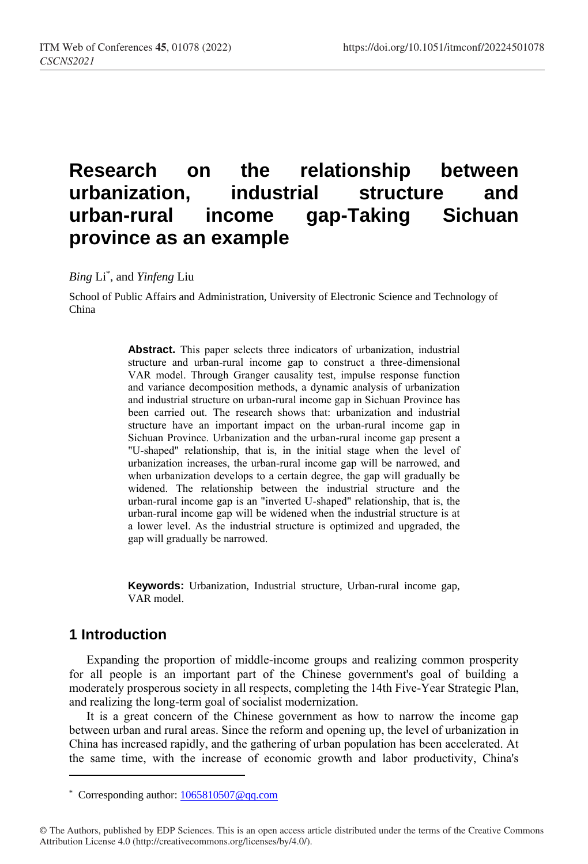# **Research on the relationship between urbanization, industrial structure and urban-rural income gap-Taking Sichuan province as an example**

*Bing* Li\* , and *Yinfeng* Liu

School of Public Affairs and Administration, University of Electronic Science and Technology of China

> **Abstract.** This paper selects three indicators of urbanization, industrial structure and urban-rural income gap to construct a three-dimensional VAR model. Through Granger causality test, impulse response function and variance decomposition methods, a dynamic analysis of urbanization and industrial structure on urban-rural income gap in Sichuan Province has been carried out. The research shows that: urbanization and industrial structure have an important impact on the urban-rural income gap in Sichuan Province. Urbanization and the urban-rural income gap present a "U-shaped" relationship, that is, in the initial stage when the level of urbanization increases, the urban-rural income gap will be narrowed, and when urbanization develops to a certain degree, the gap will gradually be widened. The relationship between the industrial structure and the urban-rural income gap is an "inverted U-shaped" relationship, that is, the urban-rural income gap will be widened when the industrial structure is at a lower level. As the industrial structure is optimized and upgraded, the gap will gradually be narrowed.

> **Keywords:** Urbanization, Industrial structure, Urban-rural income gap, VAR model.

# **1 Introduction**

 $\overline{a}$ 

Expanding the proportion of middle-income groups and realizing common prosperity for all people is an important part of the Chinese government's goal of building a moderately prosperous society in all respects, completing the 14th Five-Year Strategic Plan, and realizing the long-term goal of socialist modernization.

It is a great concern of the Chinese government as how to narrow the income gap between urban and rural areas. Since the reform and opening up, the level of urbanization in China has increased rapidly, and the gathering of urban population has been accelerated. At the same time, with the increase of economic growth and labor productivity, China's

<sup>\*</sup> Corresponding author[: 1065810507@qq.com](mailto:1065810507@qq.com)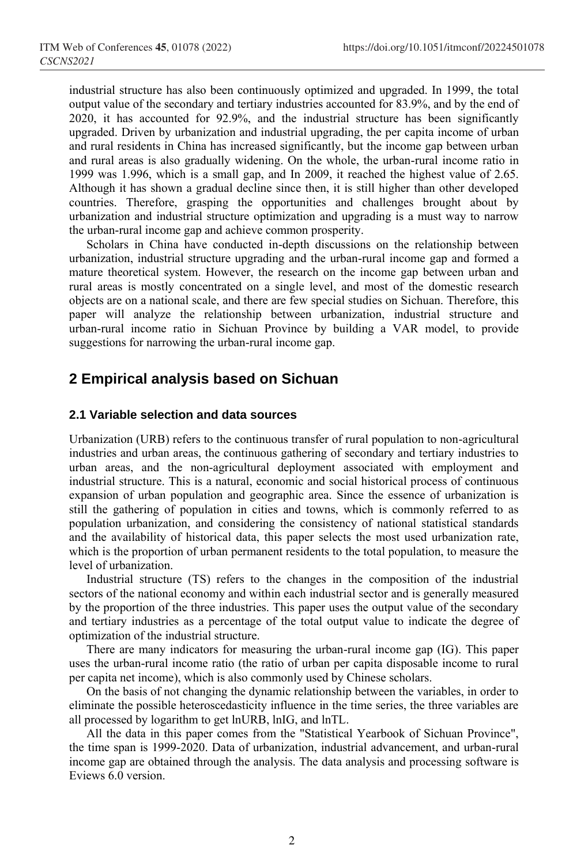industrial structure has also been continuously optimized and upgraded. In 1999, the total output value of the secondary and tertiary industries accounted for 83.9%, and by the end of 2020, it has accounted for 92.9%, and the industrial structure has been significantly upgraded. Driven by urbanization and industrial upgrading, the per capita income of urban and rural residents in China has increased significantly, but the income gap between urban and rural areas is also gradually widening. On the whole, the urban-rural income ratio in 1999 was 1.996, which is a small gap, and In 2009, it reached the highest value of 2.65. Although it has shown a gradual decline since then, it is still higher than other developed countries. Therefore, grasping the opportunities and challenges brought about by urbanization and industrial structure optimization and upgrading is a must way to narrow the urban-rural income gap and achieve common prosperity.

Scholars in China have conducted in-depth discussions on the relationship between urbanization, industrial structure upgrading and the urban-rural income gap and formed a mature theoretical system. However, the research on the income gap between urban and rural areas is mostly concentrated on a single level, and most of the domestic research objects are on a national scale, and there are few special studies on Sichuan. Therefore, this paper will analyze the relationship between urbanization, industrial structure and urban-rural income ratio in Sichuan Province by building a VAR model, to provide suggestions for narrowing the urban-rural income gap.

# **2 Empirical analysis based on Sichuan**

#### **2.1 Variable selection and data sources**

Urbanization (URB) refers to the continuous transfer of rural population to non-agricultural industries and urban areas, the continuous gathering of secondary and tertiary industries to urban areas, and the non-agricultural deployment associated with employment and industrial structure. This is a natural, economic and social historical process of continuous expansion of urban population and geographic area. Since the essence of urbanization is still the gathering of population in cities and towns, which is commonly referred to as population urbanization, and considering the consistency of national statistical standards and the availability of historical data, this paper selects the most used urbanization rate, which is the proportion of urban permanent residents to the total population, to measure the level of urbanization.

Industrial structure (TS) refers to the changes in the composition of the industrial sectors of the national economy and within each industrial sector and is generally measured by the proportion of the three industries. This paper uses the output value of the secondary and tertiary industries as a percentage of the total output value to indicate the degree of optimization of the industrial structure.

There are many indicators for measuring the urban-rural income gap (IG). This paper uses the urban-rural income ratio (the ratio of urban per capita disposable income to rural per capita net income), which is also commonly used by Chinese scholars.

On the basis of not changing the dynamic relationship between the variables, in order to eliminate the possible heteroscedasticity influence in the time series, the three variables are all processed by logarithm to get lnURB, lnIG, and lnTL.

All the data in this paper comes from the "Statistical Yearbook of Sichuan Province", the time span is 1999-2020. Data of urbanization, industrial advancement, and urban-rural income gap are obtained through the analysis. The data analysis and processing software is Eviews 6.0 version.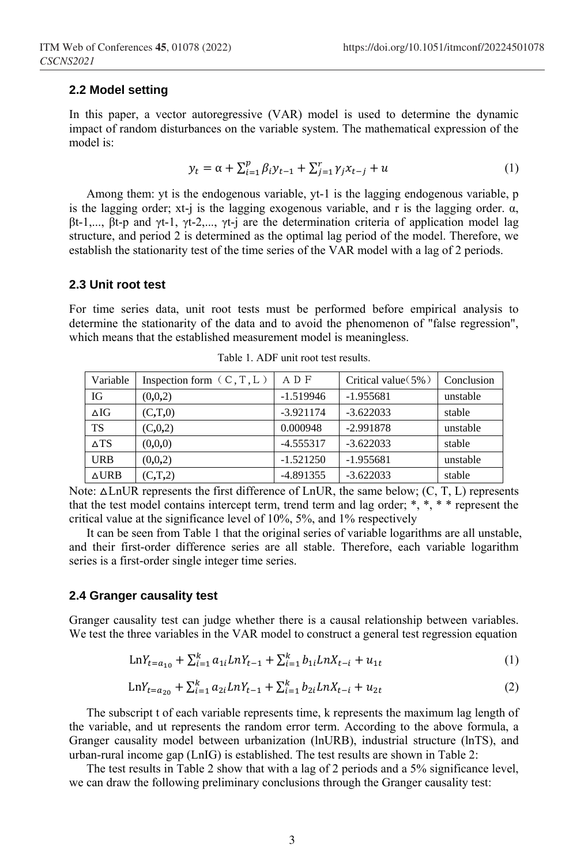#### **2.2 Model setting**

In this paper, a vector autoregressive (VAR) model is used to determine the dynamic impact of random disturbances on the variable system. The mathematical expression of the model is:

$$
y_t = \alpha + \sum_{i=1}^p \beta_i y_{t-1} + \sum_{j=1}^r \gamma_j x_{t-j} + u \tag{1}
$$

Among them: yt is the endogenous variable, yt-1 is the lagging endogenous variable, p is the lagging order; xt-j is the lagging exogenous variable, and r is the lagging order.  $\alpha$ , βt-1,..., βt-p and γt-1, γt-2,..., γt-j are the determination criteria of application model lag structure, and period 2 is determined as the optimal lag period of the model. Therefore, we establish the stationarity test of the time series of the VAR model with a lag of 2 periods.

#### **2.3 Unit root test**

For time series data, unit root tests must be performed before empirical analysis to determine the stationarity of the data and to avoid the phenomenon of "false regression", which means that the established measurement model is meaningless.

| Variable        | Inspection form $(C, T, L)$ | ADF         | Critical value $(5\%)$ | Conclusion |
|-----------------|-----------------------------|-------------|------------------------|------------|
| ΙG              | (0,0,2)                     | $-1.519946$ | $-1.955681$            | unstable   |
| $\Delta IG$     | (C,T,0)                     | $-3.921174$ | $-3.622033$            | stable     |
| TS              | (C, 0, 2)                   | 0.000948    | $-2.991878$            | unstable   |
| $\triangle$ TS  | (0,0,0)                     | $-4.555317$ | $-3.622033$            | stable     |
| URB             | (0,0,2)                     | $-1.521250$ | $-1.955681$            | unstable   |
| $\triangle$ URB | (C,T,2)                     | $-4.891355$ | $-3.622033$            | stable     |

Table 1. ADF unit root test results.

Note:  $\Delta \text{LnUR}$  represents the first difference of LnUR, the same below; (C, T, L) represents that the test model contains intercept term, trend term and lag order;  $*, *$ ,  $*, *$  represent the critical value at the significance level of 10%, 5%, and 1% respectively

It can be seen from Table 1 that the original series of variable logarithms are all unstable, and their first-order difference series are all stable. Therefore, each variable logarithm series is a first-order single integer time series.

#### **2.4 Granger causality test**

Granger causality test can judge whether there is a causal relationship between variables. We test the three variables in the VAR model to construct a general test regression equation

$$
LnY_{t=a_{10}} + \sum_{i=1}^{k} a_{1i} LnY_{t-1} + \sum_{i=1}^{k} b_{1i} LnX_{t-i} + u_{1t}
$$
 (1)

$$
LnY_{t=a_{20}} + \sum_{i=1}^{k} a_{2i} LnY_{t-1} + \sum_{i=1}^{k} b_{2i} LnX_{t-i} + u_{2t}
$$
 (2)

The subscript t of each variable represents time, k represents the maximum lag length of the variable, and ut represents the random error term. According to the above formula, a Granger causality model between urbanization (lnURB), industrial structure (lnTS), and urban-rural income gap (LnIG) is established. The test results are shown in Table 2:

The test results in Table 2 show that with a lag of 2 periods and a 5% significance level, we can draw the following preliminary conclusions through the Granger causality test: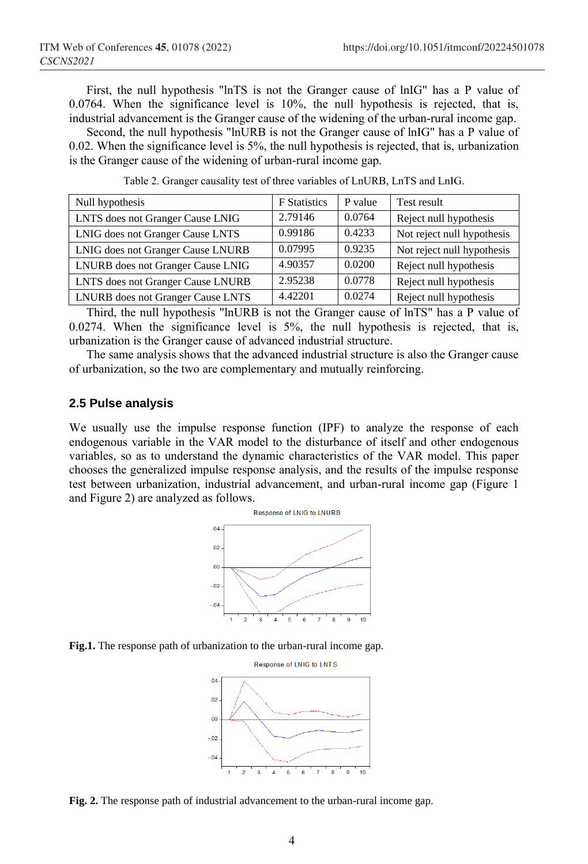First, the null hypothesis "lnTS is not the Granger cause of lnIG" has a P value of  $0.0764$ . When the significance level is  $10\%$ , the null hypothesis is rejected, that is, industrial advancement is the Granger cause of the widening of the urban-rural income gap.

Second, the null hypothesis "lnURB is not the Granger cause of lnIG" has a P value of 0.02. When the significance level is 5%, the null hypothesis is rejected, that is, urbanization is the Granger cause of the widening of urban-rural income gap.

| Null hypothesis                   | <b>F</b> Statistics | P value | Test result                |  |
|-----------------------------------|---------------------|---------|----------------------------|--|
| LNTS does not Granger Cause LNIG  | 2.79146             | 0.0764  | Reject null hypothesis     |  |
| LNIG does not Granger Cause LNTS  | 0.99186             | 0.4233  | Not reject null hypothesis |  |
| LNIG does not Granger Cause LNURB | 0.07995             | 0.9235  | Not reject null hypothesis |  |
| LNURB does not Granger Cause LNIG | 4.90357             | 0.0200  | Reject null hypothesis     |  |
| LNTS does not Granger Cause LNURB | 2.95238             | 0.0778  | Reject null hypothesis     |  |
| LNURB does not Granger Cause LNTS | 4.42201             | 0.0274  | Reject null hypothesis     |  |

Table 2. Granger causality test of three variables of LnURB, LnTS and LnIG.

Third, the null hypothesis "lnURB is not the Granger cause of lnTS" has a P value of 0.0274. When the significance level is 5%, the null hypothesis is rejected, that is, urbanization is the Granger cause of advanced industrial structure.

The same analysis shows that the advanced industrial structure is also the Granger cause of urbanization, so the two are complementary and mutually reinforcing.

#### **2.5 Pulse analysis**

We usually use the impulse response function (IPF) to analyze the response of each endogenous variable in the VAR model to the disturbance of itself and other endogenous variables, so as to understand the dynamic characteristics of the VAR model. This paper chooses the generalized impulse response analysis, and the results of the impulse response test between urbanization, industrial advancement, and urban-rural income gap (Figure 1 and Figure 2) are analyzed as follows.



**Fig.1.** The response path of urbanization to the urban-rural income gap.



**Fig. 2.** The response path of industrial advancement to the urban-rural income gap.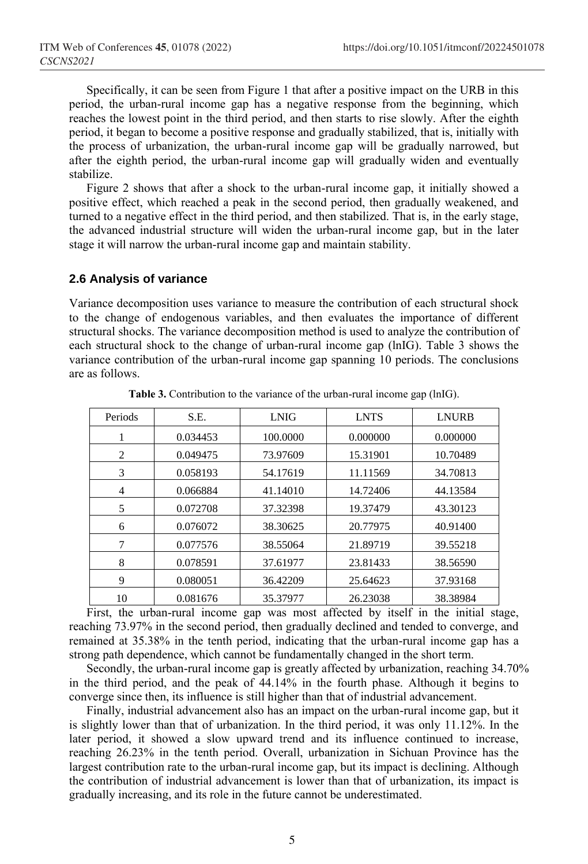Specifically, it can be seen from Figure 1 that after a positive impact on the URB in this period, the urban-rural income gap has a negative response from the beginning, which reaches the lowest point in the third period, and then starts to rise slowly. After the eighth period, it began to become a positive response and gradually stabilized, that is, initially with the process of urbanization, the urban-rural income gap will be gradually narrowed, but after the eighth period, the urban-rural income gap will gradually widen and eventually stabilize.

Figure 2 shows that after a shock to the urban-rural income gap, it initially showed a positive effect, which reached a peak in the second period, then gradually weakened, and turned to a negative effect in the third period, and then stabilized. That is, in the early stage, the advanced industrial structure will widen the urban-rural income gap, but in the later stage it will narrow the urban-rural income gap and maintain stability.

#### **2.6 Analysis of variance**

Variance decomposition uses variance to measure the contribution of each structural shock to the change of endogenous variables, and then evaluates the importance of different structural shocks. The variance decomposition method is used to analyze the contribution of each structural shock to the change of urban-rural income gap (lnIG). Table 3 shows the variance contribution of the urban-rural income gap spanning 10 periods. The conclusions are as follows.

| Periods | S.E.     | <b>LNIG</b> | <b>LNTS</b> | <b>LNURB</b> |
|---------|----------|-------------|-------------|--------------|
|         | 0.034453 | 100,0000    | 0.000000    | 0.000000     |
| 2       | 0.049475 | 73.97609    | 15.31901    | 10.70489     |
| 3       | 0.058193 | 54.17619    | 11.11569    | 34.70813     |
| 4       | 0.066884 | 41.14010    | 14.72406    | 44.13584     |
| 5       | 0.072708 | 37.32398    | 19.37479    | 43.30123     |
| 6       | 0.076072 | 38.30625    | 20.77975    | 40.91400     |
| 7       | 0.077576 | 38.55064    | 21.89719    | 39.55218     |
| 8       | 0.078591 | 37.61977    | 23.81433    | 38.56590     |
| 9       | 0.080051 | 36.42209    | 25.64623    | 37.93168     |
| 10      | 0.081676 | 35.37977    | 26.23038    | 38.38984     |

**Table 3.** Contribution to the variance of the urban-rural income gap (lnIG).

First, the urban-rural income gap was most affected by itself in the initial stage, reaching 73.97% in the second period, then gradually declined and tended to converge, and remained at 35.38% in the tenth period, indicating that the urban-rural income gap has a strong path dependence, which cannot be fundamentally changed in the short term.

Secondly, the urban-rural income gap is greatly affected by urbanization, reaching 34.70% in the third period, and the peak of 44.14% in the fourth phase. Although it begins to converge since then, its influence is still higher than that of industrial advancement.

Finally, industrial advancement also has an impact on the urban-rural income gap, but it is slightly lower than that of urbanization. In the third period, it was only 11.12%. In the later period, it showed a slow upward trend and its influence continued to increase, reaching 26.23% in the tenth period. Overall, urbanization in Sichuan Province has the largest contribution rate to the urban-rural income gap, but its impact is declining. Although the contribution of industrial advancement is lower than that of urbanization, its impact is gradually increasing, and its role in the future cannot be underestimated.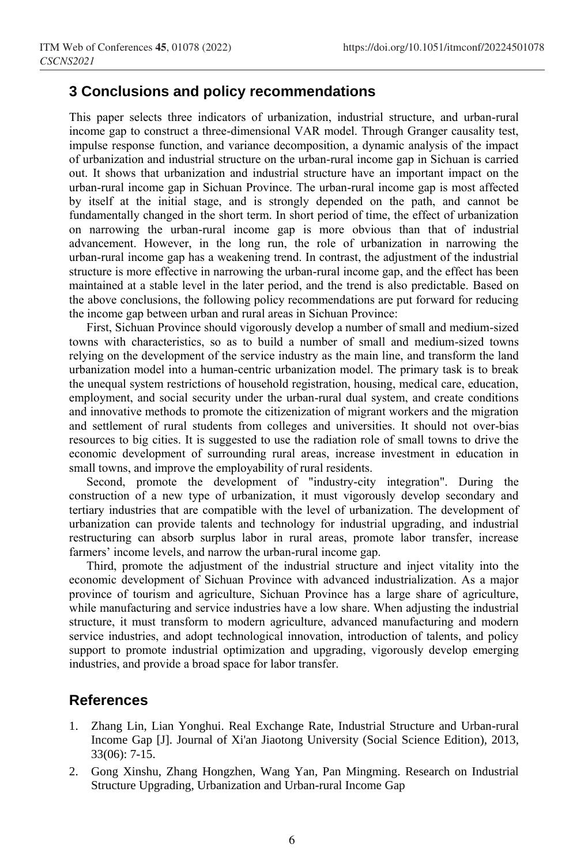### **3 Conclusions and policy recommendations**

This paper selects three indicators of urbanization, industrial structure, and urban-rural income gap to construct a three-dimensional VAR model. Through Granger causality test, impulse response function, and variance decomposition, a dynamic analysis of the impact of urbanization and industrial structure on the urban-rural income gap in Sichuan is carried out. It shows that urbanization and industrial structure have an important impact on the urban-rural income gap in Sichuan Province. The urban-rural income gap is most affected by itself at the initial stage, and is strongly depended on the path, and cannot be fundamentally changed in the short term. In short period of time, the effect of urbanization on narrowing the urban-rural income gap is more obvious than that of industrial advancement. However, in the long run, the role of urbanization in narrowing the urban-rural income gap has a weakening trend. In contrast, the adjustment of the industrial structure is more effective in narrowing the urban-rural income gap, and the effect has been maintained at a stable level in the later period, and the trend is also predictable. Based on the above conclusions, the following policy recommendations are put forward for reducing the income gap between urban and rural areas in Sichuan Province:

First, Sichuan Province should vigorously develop a number of small and medium-sized towns with characteristics, so as to build a number of small and medium-sized towns relying on the development of the service industry as the main line, and transform the land urbanization model into a human-centric urbanization model. The primary task is to break the unequal system restrictions of household registration, housing, medical care, education, employment, and social security under the urban-rural dual system, and create conditions and innovative methods to promote the citizenization of migrant workers and the migration and settlement of rural students from colleges and universities. It should not over-bias resources to big cities. It is suggested to use the radiation role of small towns to drive the economic development of surrounding rural areas, increase investment in education in small towns, and improve the employability of rural residents.

Second, promote the development of "industry-city integration". During the construction of a new type of urbanization, it must vigorously develop secondary and tertiary industries that are compatible with the level of urbanization. The development of urbanization can provide talents and technology for industrial upgrading, and industrial restructuring can absorb surplus labor in rural areas, promote labor transfer, increase farmers' income levels, and narrow the urban-rural income gap.

Third, promote the adjustment of the industrial structure and inject vitality into the economic development of Sichuan Province with advanced industrialization. As a major province of tourism and agriculture, Sichuan Province has a large share of agriculture, while manufacturing and service industries have a low share. When adjusting the industrial structure, it must transform to modern agriculture, advanced manufacturing and modern service industries, and adopt technological innovation, introduction of talents, and policy support to promote industrial optimization and upgrading, vigorously develop emerging industries, and provide a broad space for labor transfer.

## **References**

- 1. Zhang Lin, Lian Yonghui. Real Exchange Rate, Industrial Structure and Urban-rural Income Gap [J]. Journal of Xi'an Jiaotong University (Social Science Edition), 2013, 33(06): 7-15.
- 2. Gong Xinshu, Zhang Hongzhen, Wang Yan, Pan Mingming. Research on Industrial Structure Upgrading, Urbanization and Urban-rural Income Gap